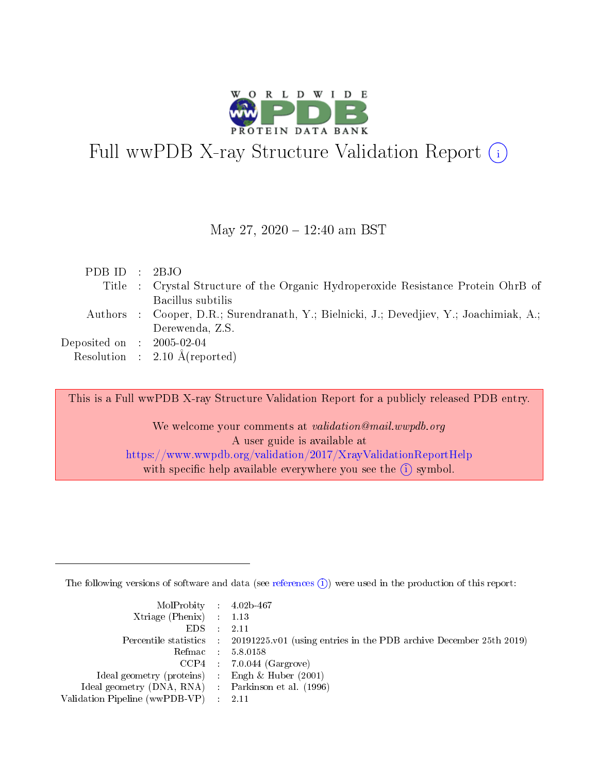

# Full wwPDB X-ray Structure Validation Report  $(i)$

#### May 27,  $2020 - 12:40$  am BST

| PDBID : 2BJO                         |                                                                                         |
|--------------------------------------|-----------------------------------------------------------------------------------------|
|                                      | Title : Crystal Structure of the Organic Hydroperoxide Resistance Protein OhrB of       |
|                                      | Bacillus subtilis                                                                       |
|                                      | Authors : Cooper, D.R.; Surendranath, Y.; Bielnicki, J.; Devedjiev, Y.; Joachimiak, A.; |
|                                      | Derewenda, Z.S.                                                                         |
| Deposited on $\therefore$ 2005-02-04 |                                                                                         |
|                                      | Resolution : $2.10 \text{ Å}$ (reported)                                                |

This is a Full wwPDB X-ray Structure Validation Report for a publicly released PDB entry.

We welcome your comments at *validation@mail.wwpdb.org* A user guide is available at <https://www.wwpdb.org/validation/2017/XrayValidationReportHelp> with specific help available everywhere you see the  $(i)$  symbol.

The following versions of software and data (see [references](https://www.wwpdb.org/validation/2017/XrayValidationReportHelp#references)  $(i)$ ) were used in the production of this report:

| $MolProbability$ 4.02b-467                          |                                                                                            |
|-----------------------------------------------------|--------------------------------------------------------------------------------------------|
| Xtriage (Phenix) $: 1.13$                           |                                                                                            |
| EDS -                                               | -2.11                                                                                      |
|                                                     | Percentile statistics : 20191225.v01 (using entries in the PDB archive December 25th 2019) |
|                                                     | Refmac 58.0158                                                                             |
|                                                     | $CCP4$ : 7.0.044 (Gargrove)                                                                |
| Ideal geometry (proteins) : Engh $\&$ Huber (2001)  |                                                                                            |
| Ideal geometry (DNA, RNA) : Parkinson et al. (1996) |                                                                                            |
| Validation Pipeline (wwPDB-VP) :                    | -2.11                                                                                      |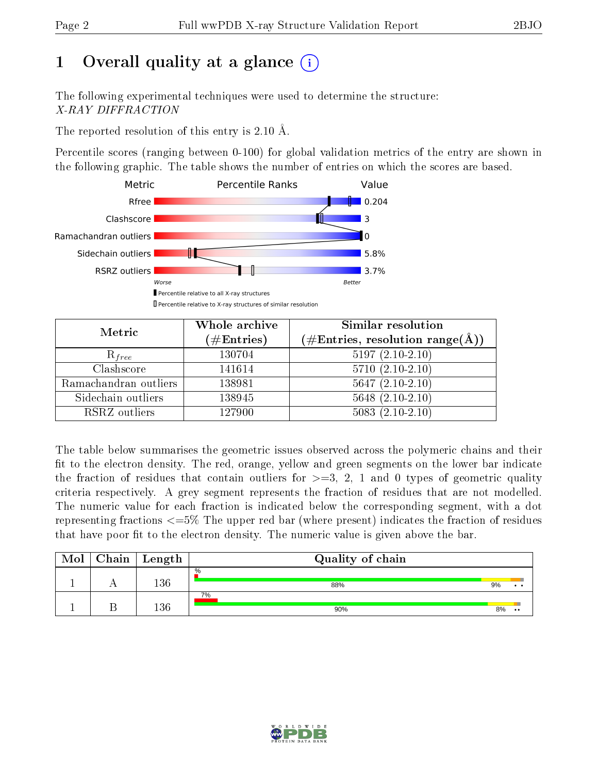# 1 [O](https://www.wwpdb.org/validation/2017/XrayValidationReportHelp#overall_quality)verall quality at a glance  $(i)$

The following experimental techniques were used to determine the structure: X-RAY DIFFRACTION

The reported resolution of this entry is 2.10 Å.

Percentile scores (ranging between 0-100) for global validation metrics of the entry are shown in the following graphic. The table shows the number of entries on which the scores are based.



| Metric                | Whole archive        | <b>Similar resolution</b><br>$(\#\text{Entries},\, \text{resolution}\; \text{range}(\textup{\AA}))$ |  |  |
|-----------------------|----------------------|-----------------------------------------------------------------------------------------------------|--|--|
|                       | $(\#\text{Entries})$ |                                                                                                     |  |  |
| $R_{free}$            | 130704               | $5197(2.10-2.10)$                                                                                   |  |  |
| Clashscore            | 141614               | $5710(2.10-2.10)$                                                                                   |  |  |
| Ramachandran outliers | 138981               | $5647(2.10-2.10)$                                                                                   |  |  |
| Sidechain outliers    | 138945               | $5648$ $(2.10-2.10)$                                                                                |  |  |
| RSRZ outliers         | 127900               | $5083(2.10-2.10)$                                                                                   |  |  |

The table below summarises the geometric issues observed across the polymeric chains and their fit to the electron density. The red, orange, yellow and green segments on the lower bar indicate the fraction of residues that contain outliers for  $>=3, 2, 1$  and 0 types of geometric quality criteria respectively. A grey segment represents the fraction of residues that are not modelled. The numeric value for each fraction is indicated below the corresponding segment, with a dot representing fractions  $\epsilon=5\%$  The upper red bar (where present) indicates the fraction of residues that have poor fit to the electron density. The numeric value is given above the bar.

| Mol | Chain | $\vert$ Length | Quality of chain |    |              |  |  |  |  |
|-----|-------|----------------|------------------|----|--------------|--|--|--|--|
|     |       | 136            | $\%$<br>88%      | 9% |              |  |  |  |  |
|     |       | 100            | 7%<br>90%        | 8% | $^{\bullet}$ |  |  |  |  |

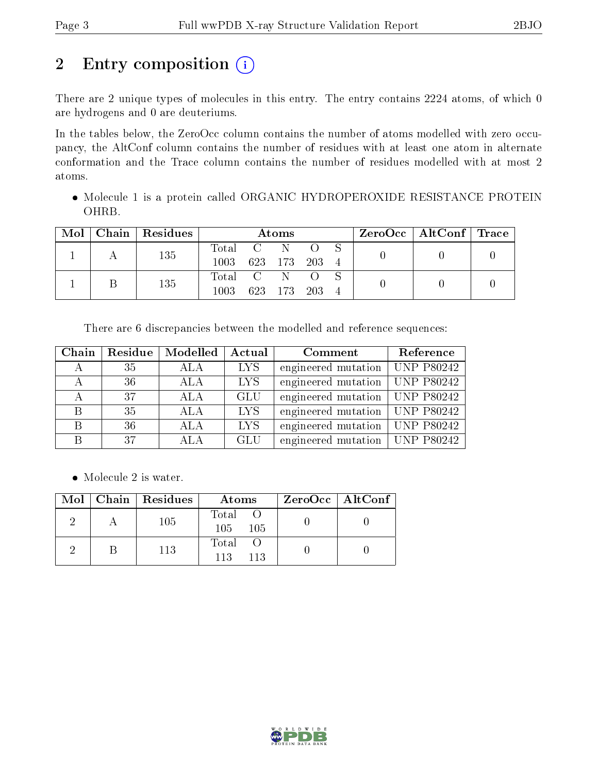# 2 Entry composition (i)

There are 2 unique types of molecules in this entry. The entry contains 2224 atoms, of which 0 are hydrogens and 0 are deuteriums.

In the tables below, the ZeroOcc column contains the number of atoms modelled with zero occupancy, the AltConf column contains the number of residues with at least one atom in alternate conformation and the Trace column contains the number of residues modelled with at most 2 atoms.

 Molecule 1 is a protein called ORGANIC HYDROPEROXIDE RESISTANCE PROTEIN OHRB.

| Mol | Chain | Residues | Atoms     |     |             |                       |                |  | ZeroOcc   AltConf   Trace |  |
|-----|-------|----------|-----------|-----|-------------|-----------------------|----------------|--|---------------------------|--|
|     |       | 135      | Total C N |     |             | $\bigcirc$ $\bigcirc$ |                |  |                           |  |
|     |       |          | 1003      |     | 623 173 203 |                       | $\overline{4}$ |  |                           |  |
|     |       | 135      | Total C N |     |             | $\left($              |                |  |                           |  |
|     |       |          | $1003\,$  | 623 | - 173       | - 203                 |                |  |                           |  |

There are 6 discrepancies between the modelled and reference sequences:

| Chain | Residue | Modelled   | Actual     | Comment                          | Reference |
|-------|---------|------------|------------|----------------------------------|-----------|
|       | 35      | ALA        | LYS        | engineered mutation   UNP P80242 |           |
|       | 36      | <b>ALA</b> | <b>LYS</b> | engineered mutation   UNP P80242 |           |
|       | 37      | <b>ALA</b> | <b>GLU</b> | engineered mutation   UNP P80242 |           |
| B     | 35      | <b>ALA</b> | <b>LYS</b> | engineered mutation   UNP P80242 |           |
| B     | 36      | ALA        | <b>LYS</b> | engineered mutation   UNP P80242 |           |
|       | 37      | ALA        | <b>GLU</b> | engineered mutation   UNP P80242 |           |

• Molecule 2 is water.

|  | Mol   Chain   Residues | Atoms                | $ZeroOcc \   \$ AltConf |
|--|------------------------|----------------------|-------------------------|
|  | 105                    | Total<br>105<br>-105 |                         |
|  | 113                    | Total<br>113<br>113  |                         |

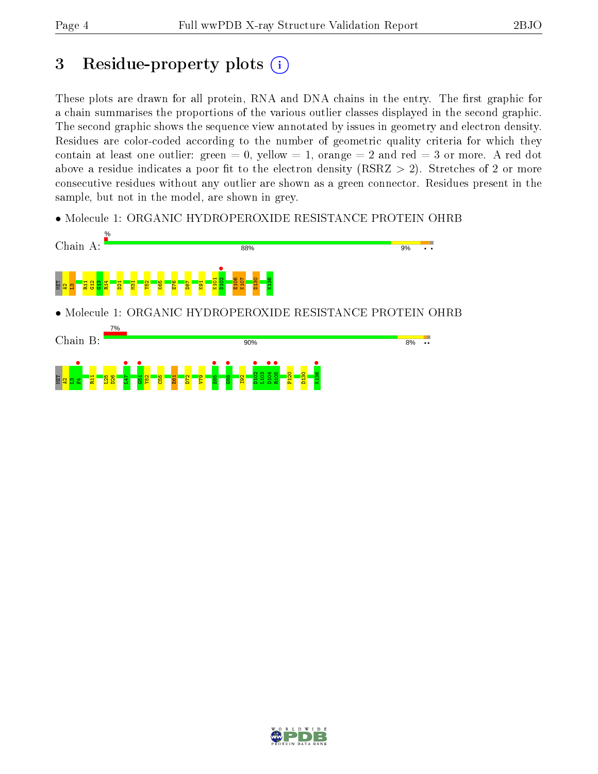# 3 Residue-property plots  $(i)$

These plots are drawn for all protein, RNA and DNA chains in the entry. The first graphic for a chain summarises the proportions of the various outlier classes displayed in the second graphic. The second graphic shows the sequence view annotated by issues in geometry and electron density. Residues are color-coded according to the number of geometric quality criteria for which they contain at least one outlier: green  $= 0$ , yellow  $= 1$ , orange  $= 2$  and red  $= 3$  or more. A red dot above a residue indicates a poor fit to the electron density (RSRZ  $> 2$ ). Stretches of 2 or more consecutive residues without any outlier are shown as a green connector. Residues present in the sample, but not in the model, are shown in grey.

• Molecule 1: ORGANIC HYDROPEROXIDE RESISTANCE PROTEIN OHRB



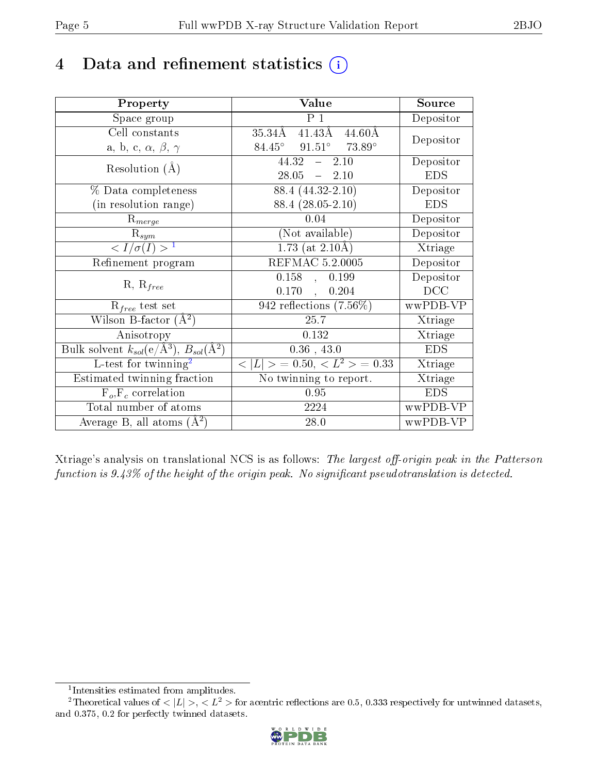# 4 Data and refinement statistics  $(i)$

| Property                                                         | Value                                                | Source     |
|------------------------------------------------------------------|------------------------------------------------------|------------|
| Space group                                                      | P <sub>1</sub>                                       | Depositor  |
| Cell constants                                                   | $41.43\text{\AA}$<br>$35.34\AA$<br>$44.60\text{\AA}$ | Depositor  |
| a, b, c, $\alpha$ , $\beta$ , $\gamma$                           | $91.51^{\circ}$ 73.89°<br>$84.45^\circ$              |            |
| Resolution $(A)$                                                 | $44.32 -$<br>2.10                                    | Depositor  |
|                                                                  | $28.05 = 2.10$                                       | <b>EDS</b> |
| % Data completeness                                              | 88.4 (44.32-2.10)                                    | Depositor  |
| (in resolution range)                                            | 88.4 (28.05-2.10)                                    | <b>EDS</b> |
| $R_{merge}$                                                      | 0.04                                                 | Depositor  |
| $\mathrm{R}_{sym}$                                               | (Not available)                                      | Depositor  |
| $\langle I/\sigma(I) \rangle^{-1}$                               | $1.73$ (at 2.10Å)                                    | Xtriage    |
| Refinement program                                               | <b>REFMAC 5.2.0005</b>                               | Depositor  |
| $R, R_{free}$                                                    | $0.158$ ,<br>0.199                                   | Depositor  |
|                                                                  | 0.170,<br>0.204                                      | DCC        |
| $R_{free}$ test set                                              | 942 reflections $(7.56\%)$                           | wwPDB-VP   |
| Wilson B-factor $(A^2)$                                          | 25.7                                                 | Xtriage    |
| Anisotropy                                                       | 0.132                                                | Xtriage    |
| Bulk solvent $k_{sol}(\text{e}/\text{A}^3), B_{sol}(\text{A}^2)$ | $0.36$ , 43.0                                        | <b>EDS</b> |
| L-test for $\mathrm{twinning}^2$                                 | $< L >$ = 0.50, $< L^2 >$ = 0.33                     | Xtriage    |
| Estimated twinning fraction                                      | No twinning to report.                               | Xtriage    |
| $F_o, F_c$ correlation                                           | 0.95                                                 | <b>EDS</b> |
| Total number of atoms                                            | 2224                                                 | wwPDB-VP   |
| Average B, all atoms $(A^2)$                                     | 28.0                                                 | wwPDB-VP   |

Xtriage's analysis on translational NCS is as follows: The largest off-origin peak in the Patterson function is  $9.43\%$  of the height of the origin peak. No significant pseudotranslation is detected.

<sup>&</sup>lt;sup>2</sup>Theoretical values of  $\langle |L| \rangle$ ,  $\langle L^2 \rangle$  for acentric reflections are 0.5, 0.333 respectively for untwinned datasets, and 0.375, 0.2 for perfectly twinned datasets.



<span id="page-4-1"></span><span id="page-4-0"></span><sup>1</sup> Intensities estimated from amplitudes.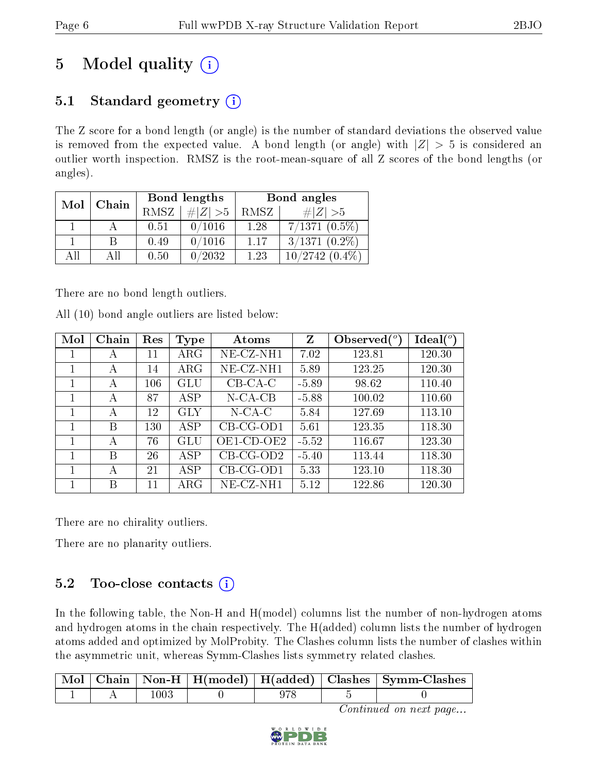# 5 Model quality  $(i)$

### 5.1 Standard geometry  $(i)$

The Z score for a bond length (or angle) is the number of standard deviations the observed value is removed from the expected value. A bond length (or angle) with  $|Z| > 5$  is considered an outlier worth inspection. RMSZ is the root-mean-square of all Z scores of the bond lengths (or angles).

| Mol | Chain |             | Bond lengths | Bond angles |                  |  |
|-----|-------|-------------|--------------|-------------|------------------|--|
|     |       | <b>RMSZ</b> | $\ Z\  > 5$  | RMSZ        | # $ Z  > 5$      |  |
|     |       | 0.51        | 0/1016       | 1.28        | $7/1371(0.5\%)$  |  |
|     | B     | 0.49        | 0/1016       | 1.17        | $3/1371(0.2\%)$  |  |
| AH  | АH    | 0.50        | 0/2032       | 1.23        | $10/2742(0.4\%)$ |  |

There are no bond length outliers.

All (10) bond angle outliers are listed below:

| Mol | Chain | Res | Type        | Atoms       | Z       | Observed $(°)$ | $\text{Ideal}({}^o)$ |
|-----|-------|-----|-------------|-------------|---------|----------------|----------------------|
|     | А     | 11  | ${\rm ARG}$ | NE-CZ-NH1   | 7.02    | 123.81         | 120.30               |
|     | А     | 14  | $\rm{ARG}$  | $NE-CZ-NH1$ | 5.89    | 123.25         | 120.30               |
|     | А     | 106 | GLU         | $CB-CA-C$   | $-5.89$ | 98.62          | 110.40               |
|     | А     | 87  | <b>ASP</b>  | $N$ -CA-CB  | $-5.88$ | 100.02         | 110.60               |
|     | А     | 12  | <b>GLY</b>  | $N$ -CA-C   | 5.84    | 127.69         | 113.10               |
|     | В     | 130 | <b>ASP</b>  | $CB-CG-OD1$ | 5.61    | 123.35         | 118.30               |
|     | А     | 76  | GLU         | OE1-CD-OE2  | $-5.52$ | 116.67         | 123.30               |
|     | В     | 26  | ASP         | $CB-CG-OD2$ | $-5.40$ | 113.44         | 118.30               |
|     | А     | 21  | ASP         | $CB-CG-OD1$ | 5.33    | 123.10         | 118.30               |
|     | Β     | 11  | $\rm{ARG}$  | $NE-CZ-NH1$ | 5.12    | 122.86         | 120.30               |

There are no chirality outliers.

There are no planarity outliers.

### 5.2 Too-close contacts  $(i)$

In the following table, the Non-H and H(model) columns list the number of non-hydrogen atoms and hydrogen atoms in the chain respectively. The H(added) column lists the number of hydrogen atoms added and optimized by MolProbity. The Clashes column lists the number of clashes within the asymmetric unit, whereas Symm-Clashes lists symmetry related clashes.

|  |      |  | Mol   Chain   Non-H   H(model)   H(added)   Clashes   Symm-Clashes |
|--|------|--|--------------------------------------------------------------------|
|  | -003 |  |                                                                    |

Continued on next page...

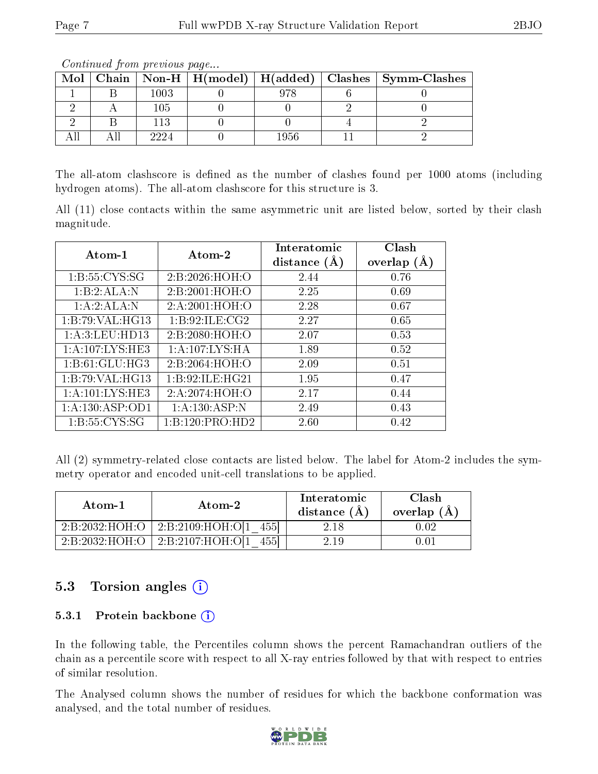|  | <u>o o reestado de francese de la compositiva de la contrada de la contrada de la contrada de la contrada de la </u> |      |  |      |  |                                                                    |  |  |  |  |  |  |
|--|----------------------------------------------------------------------------------------------------------------------|------|--|------|--|--------------------------------------------------------------------|--|--|--|--|--|--|
|  |                                                                                                                      |      |  |      |  | Mol   Chain   Non-H   H(model)   H(added)   Clashes   Symm-Clashes |  |  |  |  |  |  |
|  |                                                                                                                      | 1003 |  | 978  |  |                                                                    |  |  |  |  |  |  |
|  |                                                                                                                      | 105  |  |      |  |                                                                    |  |  |  |  |  |  |
|  |                                                                                                                      | 113  |  |      |  |                                                                    |  |  |  |  |  |  |
|  |                                                                                                                      | 2224 |  | 1956 |  |                                                                    |  |  |  |  |  |  |

Continued from previous page...

The all-atom clashscore is defined as the number of clashes found per 1000 atoms (including hydrogen atoms). The all-atom clashscore for this structure is 3.

All (11) close contacts within the same asymmetric unit are listed below, sorted by their clash magnitude.

| Atom-1              | Atom-2            | Interatomic    | Clash          |
|---------------------|-------------------|----------------|----------------|
|                     |                   | distance $(A)$ | (A)<br>overlap |
| 1: B: 55: CYS: SG   | 2:B:2026:HOH:O    | 2.44           | 0.76           |
| 1:B:2:ALA:N         | 2:B:2001:HOH:O    | 2.25           | 0.69           |
| 1:A:2:ALA:N         | 2:A:2001:HOH:O    | 2.28           | 0.67           |
| 1:B:79:VAL:HG13     | 1: B:92: ILE: CG2 | 2.27           | 0.65           |
| 1:A:3:LEU:HD13      | 2: B:2080:HOH:O   | 2.07           | 0.53           |
| 1: A: 107: LYS: HE3 | 1: A:107: LYS: HA | 1.89           | 0.52           |
| 1: B: 61: GLU: HG3  | 2:B:2064:HOH:O    | 2.09           | 0.51           |
| 1:B:79:VAL:HG13     | 1:B:92:ILE:HG21   | 1.95           | 0.47           |
| 1: A: 101: LYS: HE3 | 2:A:2074:HOH:O    | 2.17           | 0.44           |
| 1:A:130:ASP:OD1     | 1:A:130:ASP:N     | 2.49           | 0.43           |
| 1: B: 55: CYS: SG   | 1:B:120:PRO:HD2   | 2.60           | 0.42           |

All (2) symmetry-related close contacts are listed below. The label for Atom-2 includes the symmetry operator and encoded unit-cell translations to be applied.

| Atom-1         | Atom-2               | Interatomic<br>distance $(A)$ | Clash<br>overlap (A |
|----------------|----------------------|-------------------------------|---------------------|
| 2:B:2032:HOH:O | 2:B:2109:HOH:O[1]    | 2.18                          |                     |
| 2:B:2032:HOH:O | $2: B: 2107$ :HOH:OL | 2.19                          |                     |

### 5.3 Torsion angles  $(i)$

#### 5.3.1 Protein backbone (i)

In the following table, the Percentiles column shows the percent Ramachandran outliers of the chain as a percentile score with respect to all X-ray entries followed by that with respect to entries of similar resolution.

The Analysed column shows the number of residues for which the backbone conformation was analysed, and the total number of residues.

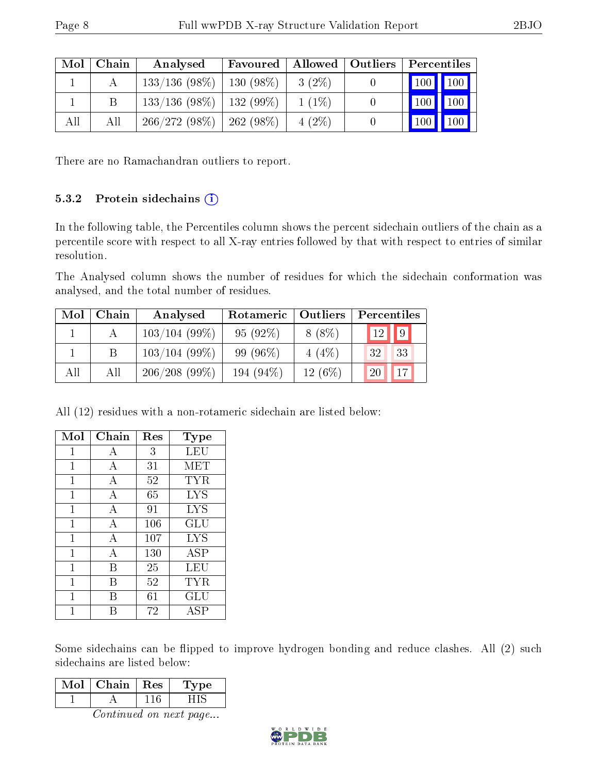| Mol | Chain | Analysed                      | Favoured    |          | Allowed   Outliers | $\mid$ Percentiles        |
|-----|-------|-------------------------------|-------------|----------|--------------------|---------------------------|
|     |       | $133/136(98\%)$               | $130(98\%)$ | $3(2\%)$ |                    | 100 100                   |
|     |       | $133/136$ (98\%)   132 (99\%) |             | $1(1\%)$ |                    | 100<br> 100               |
| All | Аll   | $266/272(98\%)$               | $262(98\%)$ | $4(2\%)$ |                    | 100<br>$\left(100\right)$ |

There are no Ramachandran outliers to report.

#### 5.3.2 Protein sidechains  $(i)$

In the following table, the Percentiles column shows the percent sidechain outliers of the chain as a percentile score with respect to all X-ray entries followed by that with respect to entries of similar resolution.

The Analysed column shows the number of residues for which the sidechain conformation was analysed, and the total number of residues.

| Mol | Chain | Analysed        | Rotameric    | Outliers | Percentiles      |
|-----|-------|-----------------|--------------|----------|------------------|
|     |       | $103/104(99\%)$ | $95(92\%)$   | $8(8\%)$ | $\sqrt{9}$<br>12 |
|     |       | 103/104(99%)    | 99 (96\%)    | $4(4\%)$ | 33<br>32         |
| All | All   | 206/208(99%)    | 194 $(94\%)$ | 12(6%)   | 17<br>20         |

All (12) residues with a non-rotameric sidechain are listed below:

| Mol          | Chain          | Res | $_{\rm Type}$ |
|--------------|----------------|-----|---------------|
| 1            | А              | 3   | LEU           |
| 1            | А              | 31  | <b>MET</b>    |
| 1            | А              | 52  | TYR           |
| 1            | $\mathbf{A}$   | 65  | <b>LYS</b>    |
| $\mathbf{1}$ | $\overline{A}$ | 91  | <b>LYS</b>    |
| 1            | $\overline{A}$ | 106 | GLU           |
| 1            | $\overline{A}$ | 107 | <b>LYS</b>    |
| 1            | А              | 130 | ASP           |
| 1            | В              | 25  | LEU           |
| 1            | В              | 52  | TYR           |
| 1            | R              | 61  | GLU           |
|              |                | 72  | ASP           |

Some sidechains can be flipped to improve hydrogen bonding and reduce clashes. All (2) such sidechains are listed below:

| $\overline{\text{Mol}}$       | Chain   Res |     | Type |  |  |
|-------------------------------|-------------|-----|------|--|--|
|                               |             | 116 | HIS  |  |  |
| <i>Continued on next page</i> |             |     |      |  |  |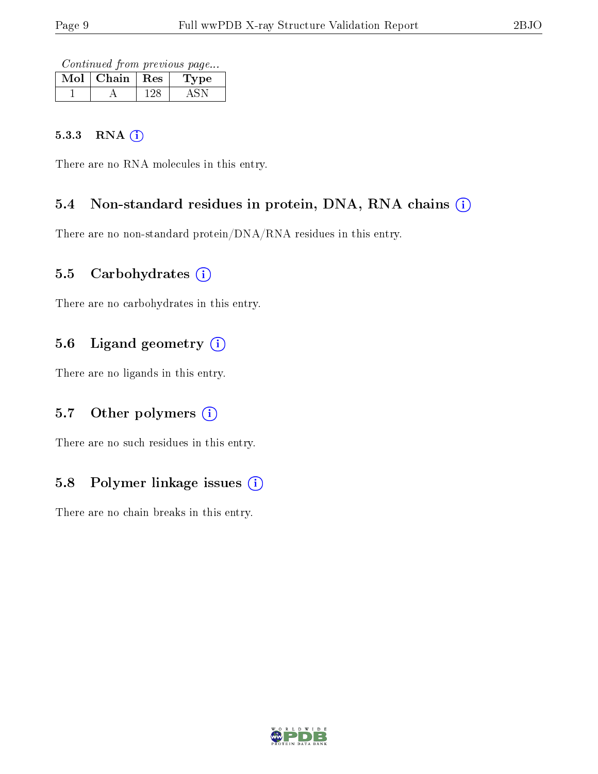Continued from previous page...

| Mol | $\vert$ Chain $\vert$ Res | Type |
|-----|---------------------------|------|
|     |                           |      |

#### 5.3.3 RNA [O](https://www.wwpdb.org/validation/2017/XrayValidationReportHelp#rna)i

There are no RNA molecules in this entry.

#### 5.4 Non-standard residues in protein, DNA, RNA chains (i)

There are no non-standard protein/DNA/RNA residues in this entry.

#### 5.5 Carbohydrates  $(i)$

There are no carbohydrates in this entry.

### 5.6 Ligand geometry (i)

There are no ligands in this entry.

### 5.7 [O](https://www.wwpdb.org/validation/2017/XrayValidationReportHelp#nonstandard_residues_and_ligands)ther polymers (i)

There are no such residues in this entry.

### 5.8 Polymer linkage issues  $(i)$

There are no chain breaks in this entry.

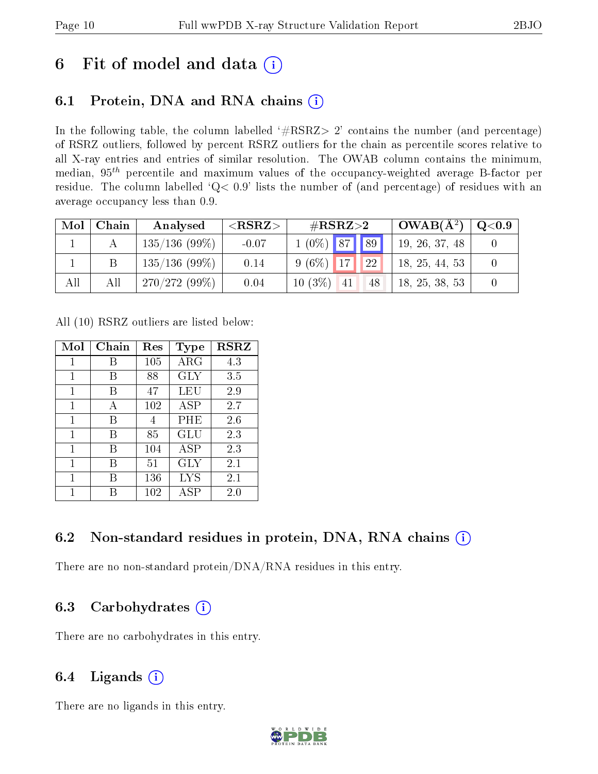# 6 Fit of model and data  $(i)$

## 6.1 Protein, DNA and RNA chains  $(i)$

In the following table, the column labelled  $#RSRZ> 2'$  contains the number (and percentage) of RSRZ outliers, followed by percent RSRZ outliers for the chain as percentile scores relative to all X-ray entries and entries of similar resolution. The OWAB column contains the minimum, median,  $95<sup>th</sup>$  percentile and maximum values of the occupancy-weighted average B-factor per residue. The column labelled ' $Q< 0.9$ ' lists the number of (and percentage) of residues with an average occupancy less than 0.9.

| Mol | Chain | Analysed        | ${ <\hspace{-1.5pt}{\mathrm{RSRZ}} \hspace{-1.5pt}>}$ | # $RSRZ>2$         | $\mid$ OWAB( $A^2$ ) $\mid$ | $\mid$ Q<0.9 $\mid$ |
|-----|-------|-----------------|-------------------------------------------------------|--------------------|-----------------------------|---------------------|
|     |       | 135/136(99%)    | $-0.07$                                               | $1(0\%)$ 87 89     | 19, 26, 37, 48              |                     |
|     |       | $135/136(99\%)$ | 0.14                                                  | $9(6\%)$ 17 22     | 18, 25, 44, 53              |                     |
| All | All   | 270/272(99%)    | 0.04                                                  | $10(3\%)$ 41<br>48 | 18, 25, 38, 53              |                     |

All (10) RSRZ outliers are listed below:

| Mol         | Chain | $\operatorname{Res}% \left( \mathcal{N}\right) \equiv\operatorname{Res}(\mathcal{N}_{0})\cap\mathcal{N}_{1}$ | <b>Type</b>  | <b>RSRZ</b> |
|-------------|-------|--------------------------------------------------------------------------------------------------------------|--------------|-------------|
| $\mathbf 1$ | B     | 105                                                                                                          | $\rm{ARG}$   | 4.3         |
| 1           | B     | 88                                                                                                           | <b>GLY</b>   | 3.5         |
| 1           | В     | 47                                                                                                           | LEU          | 2.9         |
| 1           | А     | 102                                                                                                          | ASP          | 2.7         |
| 1           | В     | 4                                                                                                            | PHE          | 2.6         |
| 1           | В     | 85                                                                                                           | GLU          | 2.3         |
| 1           | В     | 104                                                                                                          | <b>ASP</b>   | 2.3         |
| 1           | В     | 51                                                                                                           | GLY          | $2.1\,$     |
| 1           | В     | 136                                                                                                          | <b>LYS</b>   | 2.1         |
| 1           |       | 102                                                                                                          | $_{\rm ASP}$ | 2.0         |

### 6.2 Non-standard residues in protein, DNA, RNA chains  $(i)$

There are no non-standard protein/DNA/RNA residues in this entry.

### 6.3 Carbohydrates  $(i)$

There are no carbohydrates in this entry.

### 6.4 Ligands  $(i)$

There are no ligands in this entry.